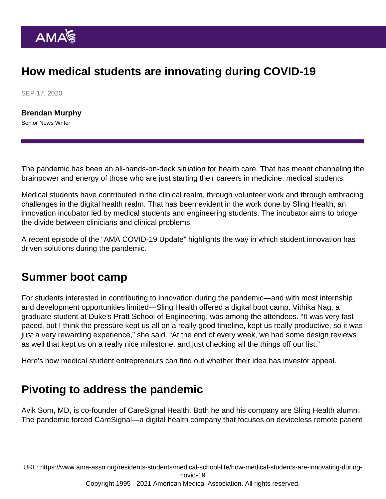## How medical students are innovating during COVID-19

SEP 17, 2020

[Brendan Murphy](https://www.ama-assn.org/news-leadership-viewpoints/authors-news-leadership-viewpoints/brendan-murphy) Senior News Writer

The pandemic has been an all-hands-on-deck situation for health care. That has meant channeling the brainpower and energy of those who are just starting their careers in medicine: medical students.

Medical students have contributed in the clinical realm, through volunteer work and through embracing challenges in the digital health realm. That has been evident in the work done by [Sling Health,](https://slinghealth.org/) an innovation incubator led by medical students and engineering students. The incubator aims to bridge the divide between clinicians and clinical problems.

A [recent episode](https://www.ama-assn.org/practice-management/digital/ama-covid-19-daily-video-update-ways-student-innovation-drives) of the "AMA COVID-19 Update" highlights the way in which student innovation has driven solutions during the pandemic.

## Summer boot camp

For students interested in contributing to innovation during the pandemic—and with most internship and development opportunities limited—Sling Health offered a digital boot camp. Vithika Nag, a graduate student at Duke's Pratt School of Engineering, was among the attendees. "It was very fast paced, but I think the pressure kept us all on a really good timeline, kept us really productive, so it was just a very rewarding experience," she said. "At the end of every week, we had some design reviews as well that kept us on a really nice milestone, and just checking all the things off our list."

Here's how medical student entrepreneurs can find out [whether their idea has investor appeal.](https://www.ama-assn.org/residents-students/medical-school-life/med-student-entrepreneurs-does-your-idea-have-investor)

## Pivoting to address the pandemic

Avik Som, MD, is co-founder of CareSignal Health. Both he and his company are Sling Health alumni. The pandemic forced CareSignal—a digital health company that focuses on deviceless remote patient

URL: [https://www.ama-assn.org/residents-students/medical-school-life/how-medical-students-are-innovating-during](https://www.ama-assn.org/residents-students/medical-school-life/how-medical-students-are-innovating-during-covid-19)[covid-19](https://www.ama-assn.org/residents-students/medical-school-life/how-medical-students-are-innovating-during-covid-19) Copyright 1995 - 2021 American Medical Association. All rights reserved.